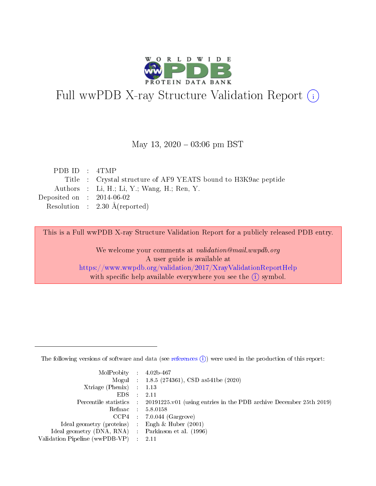

# Full wwPDB X-ray Structure Validation Report (i)

#### May 13,  $2020 - 03:06$  pm BST

| PDB ID : 4TMP               |                                                                |
|-----------------------------|----------------------------------------------------------------|
|                             | Title : Crystal structure of AF9 YEATS bound to H3K9ac peptide |
|                             | Authors : Li, H.; Li, Y.; Wang, H.; Ren, Y.                    |
| Deposited on : $2014-06-02$ |                                                                |
|                             | Resolution : $2.30 \text{ Å}$ (reported)                       |

This is a Full wwPDB X-ray Structure Validation Report for a publicly released PDB entry.

We welcome your comments at validation@mail.wwpdb.org A user guide is available at <https://www.wwpdb.org/validation/2017/XrayValidationReportHelp> with specific help available everywhere you see the  $(i)$  symbol.

The following versions of software and data (see [references](https://www.wwpdb.org/validation/2017/XrayValidationReportHelp#references)  $(1)$ ) were used in the production of this report:

| $MolProbability$ : 4.02b-467                        |                                                                                            |
|-----------------------------------------------------|--------------------------------------------------------------------------------------------|
|                                                     | Mogul : $1.8.5$ (274361), CSD as 541be (2020)                                              |
| Xtriage (Phenix) $: 1.13$                           |                                                                                            |
| EDS                                                 | -2.11                                                                                      |
|                                                     | Percentile statistics : 20191225.v01 (using entries in the PDB archive December 25th 2019) |
| Refmac 58.0158                                      |                                                                                            |
|                                                     | $CCP4$ 7.0.044 (Gargrove)                                                                  |
| Ideal geometry (proteins) : Engh $\&$ Huber (2001)  |                                                                                            |
| Ideal geometry (DNA, RNA) : Parkinson et al. (1996) |                                                                                            |
| Validation Pipeline (wwPDB-VP) : 2.11               |                                                                                            |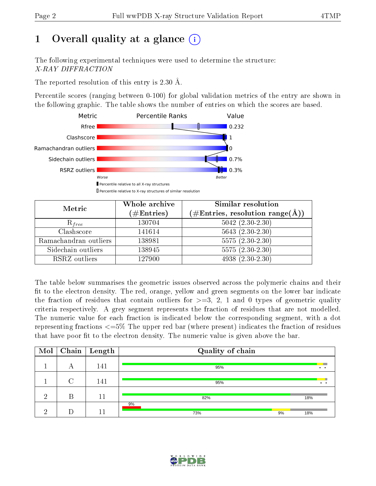# 1 [O](https://www.wwpdb.org/validation/2017/XrayValidationReportHelp#overall_quality)verall quality at a glance  $(i)$

The following experimental techniques were used to determine the structure: X-RAY DIFFRACTION

The reported resolution of this entry is 2.30 Å.

Percentile scores (ranging between 0-100) for global validation metrics of the entry are shown in the following graphic. The table shows the number of entries on which the scores are based.



| Metric                | Whole archive<br>$(\#\text{Entries})$ | Similar resolution<br>$(\#\text{Entries},\,\text{resolution}\,\,\text{range}(\textup{\AA}))$ |
|-----------------------|---------------------------------------|----------------------------------------------------------------------------------------------|
| $R_{free}$            | 130704                                | $5042 (2.30 - 2.30)$                                                                         |
| Clashscore            | 141614                                | $5643(2.30-2.30)$                                                                            |
| Ramachandran outliers | 138981                                | $5575(2.30-2.30)$                                                                            |
| Sidechain outliers    | 138945                                | $5575(2.30-2.30)$                                                                            |
| RSRZ outliers         | 127900                                | $4938(2.30-2.30)$                                                                            |

The table below summarises the geometric issues observed across the polymeric chains and their fit to the electron density. The red, orange, yellow and green segments on the lower bar indicate the fraction of residues that contain outliers for  $>=3, 2, 1$  and 0 types of geometric quality criteria respectively. A grey segment represents the fraction of residues that are not modelled. The numeric value for each fraction is indicated below the corresponding segment, with a dot representing fractions  $\epsilon=5\%$  The upper red bar (where present) indicates the fraction of residues that have poor fit to the electron density. The numeric value is given above the bar.

| Mol |   | $\fbox{Chain}$ Length | Quality of chain |     |  |  |  |  |  |
|-----|---|-----------------------|------------------|-----|--|--|--|--|--|
|     | А | 141                   | 95%              | . . |  |  |  |  |  |
|     | ⌒ | 141                   | 95%              | . . |  |  |  |  |  |
| ച   | В | 11                    | 82%              | 18% |  |  |  |  |  |
| ച   |   | -1                    | 9%<br>9%<br>73%  | 18% |  |  |  |  |  |

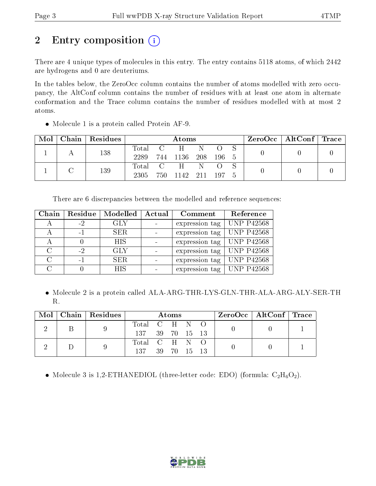# 2 Entry composition (i)

There are 4 unique types of molecules in this entry. The entry contains 5118 atoms, of which 2442 are hydrogens and 0 are deuteriums.

In the tables below, the ZeroOcc column contains the number of atoms modelled with zero occupancy, the AltConf column contains the number of residues with at least one atom in alternate conformation and the Trace column contains the number of residues modelled with at most 2 atoms.

| Mol |  | Chain   Residues | Atoms     |  |                  |   |  |     |  | $\text{ZeroOcc}$   AltConf   Trace |  |
|-----|--|------------------|-----------|--|------------------|---|--|-----|--|------------------------------------|--|
|     |  | 138              | Total C   |  | H                |   |  |     |  |                                    |  |
|     |  |                  | 2289      |  | 744 1136 208 196 |   |  | - 5 |  |                                    |  |
|     |  | 139              | Total C H |  |                  | N |  |     |  |                                    |  |
|     |  |                  | 2305-     |  | 750 1142 211 197 |   |  | 5   |  |                                    |  |

• Molecule 1 is a protein called Protein AF-9.

There are 6 discrepancies between the modelled and reference sequences:

| Chain  | Residue | Modelled   | Actual | Comment        | Reference         |
|--------|---------|------------|--------|----------------|-------------------|
|        | $-2$    | <b>GLY</b> |        | expression tag | <b>UNP P42568</b> |
|        | $-1$    | SER.       |        | expression tag | <b>UNP P42568</b> |
|        |         | <b>HIS</b> |        | expression tag | <b>UNP P42568</b> |
| C      | $-2$    | GLY        |        | expression tag | <b>UNP P42568</b> |
| $\cap$ | $-1$    | SER.       |        | expression tag | <b>UNP P42568</b> |
|        |         | <b>HIS</b> |        | expression tag | <b>UNP P42568</b> |

 Molecule 2 is a protein called ALA-ARG-THR-LYS-GLN-THR-ALA-ARG-ALY-SER-TH R.

| Mol | $\Box$ Chain   Residues | Atoms           |  |             |  | $\text{ZeroOcc} \mid \text{AltConf} \mid \text{Trace}$ |  |  |
|-----|-------------------------|-----------------|--|-------------|--|--------------------------------------------------------|--|--|
|     |                         | Total C H N O   |  |             |  |                                                        |  |  |
|     |                         | 137 39 70 15 13 |  |             |  |                                                        |  |  |
|     |                         | Total C H N O   |  |             |  |                                                        |  |  |
|     |                         | 137             |  | 39 70 15 13 |  |                                                        |  |  |

• Molecule 3 is 1,2-ETHANEDIOL (three-letter code: EDO) (formula:  $C_2H_6O_2$ ).

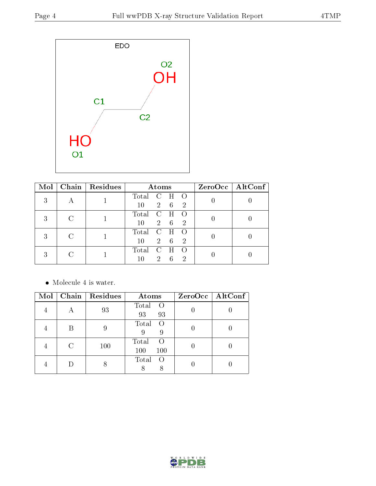

| Mol |   | Chain   Residues |         | Atoms          |            |                  | ZeroOcc   AltConf |
|-----|---|------------------|---------|----------------|------------|------------------|-------------------|
|     |   |                  | Total C |                | H          | $\left( \right)$ |                   |
|     | A |                  | 10      |                | $2\quad 6$ | -2               |                   |
|     | С |                  | Total   | $\mathbf C$    | H          |                  |                   |
|     |   |                  | 10      |                | $2\quad 6$ | $\overline{2}$   |                   |
|     |   |                  | Total   | $\mathbf{C}$   | H          |                  |                   |
|     |   |                  | 10      |                | $2\quad 6$ | 2                |                   |
|     |   |                  | Total   | $\mathcal{C}$  | - H        |                  |                   |
|     |   |                  | 10      | 2 <sup>1</sup> | - 6        | 2                |                   |

 $\bullet\,$  Molecule 4 is water.

| Mol | Chain   Residues | Atoms                                   | ZeroOcc   AltConf |
|-----|------------------|-----------------------------------------|-------------------|
|     | 93               | Total<br>$\bigcirc$<br>93<br>93         |                   |
|     |                  | Total<br>- O<br>9<br>9                  |                   |
|     | 100              | Total<br>$\left( \right)$<br>100<br>100 |                   |
|     |                  | Total<br>$\left($<br>8                  |                   |

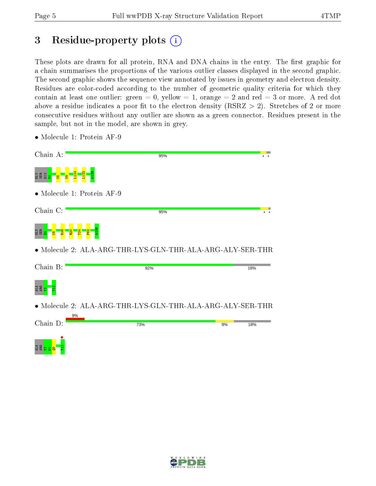# 3 Residue-property plots  $\binom{1}{1}$

These plots are drawn for all protein, RNA and DNA chains in the entry. The first graphic for a chain summarises the proportions of the various outlier classes displayed in the second graphic. The second graphic shows the sequence view annotated by issues in geometry and electron density. Residues are color-coded according to the number of geometric quality criteria for which they contain at least one outlier: green  $= 0$ , yellow  $= 1$ , orange  $= 2$  and red  $= 3$  or more. A red dot above a residue indicates a poor fit to the electron density (RSRZ  $> 2$ ). Stretches of 2 or more consecutive residues without any outlier are shown as a green connector. Residues present in the sample, but not in the model, are shown in grey.

- Chain A: 95% L104 L122 A138  $5B1$ V9 • Molecule 1: Protein AF-9 Chain C: 95%  $\overline{\cdot}$  . A138 ger <mark>e g</mark>  $\frac{20}{20}$ T24  $P62$ • Molecule 2: ALA-ARG-THR-LYS-GLN-THR-ALA-ARG-ALY-SER-THR Chain B: 82% 18%  $\frac{4}{3}$   $\frac{8}{11}$ • Molecule 2: ALA-ARG-THR-LYS-GLN-THR-ALA-ARG-ALY-SER-THR  $Q_0$ Chain D: 73% 9% 18% A<br>Ag<mark>este</mark> II<br>Ageste II
- Molecule 1: Protein AF-9

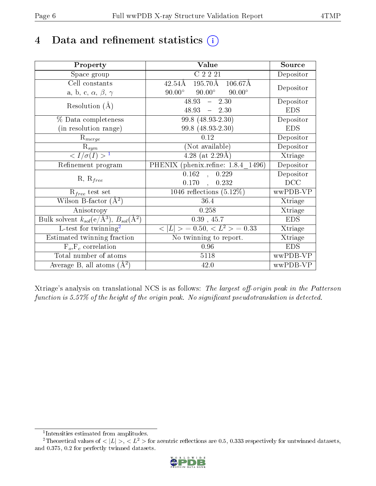# 4 Data and refinement statistics  $(i)$

| Property                                                             | <b>Value</b>                                             | Source     |
|----------------------------------------------------------------------|----------------------------------------------------------|------------|
| Space group                                                          | C2221                                                    | Depositor  |
| Cell constants                                                       | 195.70Å<br>$106.67\text{\AA}$<br>42.54Å                  |            |
| a, b, c, $\alpha$ , $\beta$ , $\gamma$                               | $90.00^\circ$<br>$90.00^\circ$<br>$90.00^\circ$          | Depositor  |
| Resolution $(A)$                                                     | 48.93<br>$-2.30$                                         | Depositor  |
|                                                                      | $48.93 - 2.30$                                           | <b>EDS</b> |
| % Data completeness                                                  | 99.8 (48.93-2.30)                                        | Depositor  |
| (in resolution range)                                                | 99.8 (48.93-2.30)                                        | <b>EDS</b> |
| $R_{merge}$                                                          | 0.12                                                     | Depositor  |
| $\mathrm{R}_{sym}$                                                   | (Not available)                                          | Depositor  |
| $\sqrt{I/\sigma}(I) > 1$                                             | $4.28$ (at 2.29Å)                                        | Xtriage    |
| Refinement program                                                   | PHENIX (phenix.refine: 1.8.4 1496)                       | Depositor  |
|                                                                      | 0.162<br>0.229<br>$\mathcal{A}$                          | Depositor  |
| $R, R_{free}$                                                        | $0.170$ ,<br>0.232                                       | DCC        |
| $R_{free}$ test set                                                  | 1046 reflections $(5.12\%)$                              | wwPDB-VP   |
| Wilson B-factor $(\AA^2)$                                            | 36.4                                                     | Xtriage    |
| Anisotropy                                                           | 0.258                                                    | Xtriage    |
| Bulk solvent $k_{sol}(e/\mathring{A}^3)$ , $B_{sol}(\mathring{A}^2)$ | $0.39$ , 45.7                                            | <b>EDS</b> |
| L-test for twinning <sup>2</sup>                                     | $\langle  L  \rangle = 0.50, \langle L^2 \rangle = 0.33$ | Xtriage    |
| Estimated twinning fraction                                          | No twinning to report.                                   | Xtriage    |
| $F_o, F_c$ correlation                                               | 0.96                                                     | <b>EDS</b> |
| Total number of atoms                                                | 5118                                                     | wwPDB-VP   |
| Average B, all atoms $(A^2)$                                         | 42.0                                                     | wwPDB-VP   |

Xtriage's analysis on translational NCS is as follows: The largest off-origin peak in the Patterson function is  $5.57\%$  of the height of the origin peak. No significant pseudotranslation is detected.

<sup>&</sup>lt;sup>2</sup>Theoretical values of  $\langle |L| \rangle$ ,  $\langle L^2 \rangle$  for acentric reflections are 0.5, 0.333 respectively for untwinned datasets, and 0.375, 0.2 for perfectly twinned datasets.



<span id="page-5-1"></span><span id="page-5-0"></span><sup>1</sup> Intensities estimated from amplitudes.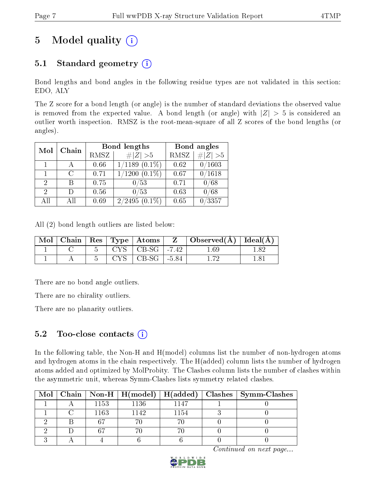# 5 Model quality  $(i)$

## 5.1 Standard geometry  $(i)$

Bond lengths and bond angles in the following residue types are not validated in this section: EDO, ALY

The Z score for a bond length (or angle) is the number of standard deviations the observed value is removed from the expected value. A bond length (or angle) with  $|Z| > 5$  is considered an outlier worth inspection. RMSZ is the root-mean-square of all Z scores of the bond lengths (or angles).

| Mol | Chain  |      | Bond lengths       | Bond angles |                 |  |
|-----|--------|------|--------------------|-------------|-----------------|--|
|     |        | RMSZ | $\# Z  > 5$        | RMSZ        | # $ Z >5$       |  |
|     |        | 0.66 | $1/1189$ $(0.1\%)$ | 0.62        | 0/1603          |  |
|     | $\cap$ | 0.71 | $1/1200(0.1\%)$    | 0.67        | $^{\prime}1618$ |  |
| 2   | В      | 0.75 | 0/53               | 0.71        | 0/68            |  |
| 2   | Ð      | 0.56 | 0/53               | 0.63        | 0/68            |  |
| All | All    | 0.69 | $2/2495(0.1\%)$    | 0.65        | 3357            |  |

All (2) bond length outliers are listed below:

|  |  |                                         | $\Box$ Mol   Chain   Res   Type   Atoms   Z   Observed(A)   Ideal(A) |      |
|--|--|-----------------------------------------|----------------------------------------------------------------------|------|
|  |  | $\vert$ CYS $\vert$ CB-SG $\vert$ -7.42 | l .69                                                                | - 82 |
|  |  | $CYS$   CB-SG   -5.84                   |                                                                      |      |

There are no bond angle outliers.

There are no chirality outliers.

There are no planarity outliers.

### 5.2 Too-close contacts  $(i)$

In the following table, the Non-H and H(model) columns list the number of non-hydrogen atoms and hydrogen atoms in the chain respectively. The H(added) column lists the number of hydrogen atoms added and optimized by MolProbity. The Clashes column lists the number of clashes within the asymmetric unit, whereas Symm-Clashes lists symmetry related clashes.

|  |      |      |      | Mol   Chain   Non-H   H(model)   H(added)   Clashes   Symm-Clashes |
|--|------|------|------|--------------------------------------------------------------------|
|  | 1153 | 1136 | 1147 |                                                                    |
|  | 1163 | 1142 | 1154 |                                                                    |
|  |      |      |      |                                                                    |
|  |      |      |      |                                                                    |
|  |      |      |      |                                                                    |

Continued on next page...

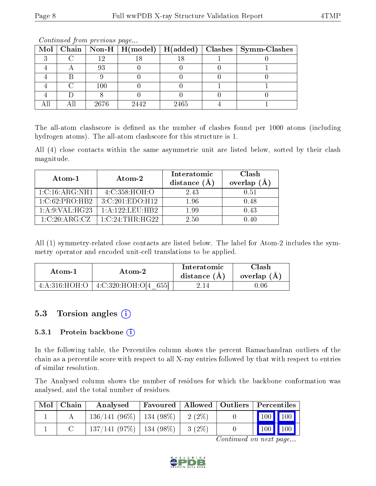|  |         |      |      | Mol   Chain   Non-H   H(model)   H(added)   Clashes   Symm-Clashes |
|--|---------|------|------|--------------------------------------------------------------------|
|  |         |      |      |                                                                    |
|  | 93      |      |      |                                                                    |
|  |         |      |      |                                                                    |
|  | $100\,$ |      |      |                                                                    |
|  |         |      |      |                                                                    |
|  | 2676    | 2442 | 2465 |                                                                    |

Continued from previous page...

The all-atom clashscore is defined as the number of clashes found per 1000 atoms (including hydrogen atoms). The all-atom clashscore for this structure is 1.

All (4) close contacts within the same asymmetric unit are listed below, sorted by their clash magnitude.

| Atom-1           | Atom-2                      | Interatomic<br>distance $(A)$ | Clash<br>overlap (A |
|------------------|-----------------------------|-------------------------------|---------------------|
| 1:C:16:ARG:NH1   | 4:C:358:HOH:O               | 2.43                          | 0.51                |
| 1:C:62:PRO:HB2   | 3:C:201:EDO:H12             | 1.96                          | 0.48                |
| 1: A:9: VAL:HG23 | $1: A: 122: \text{LEU:HB2}$ | 1.99                          | 0.43                |
| 1:C:20:ARG:CZ    | $1:C:24$ : THR: HG22        | 2.50                          | 0.40                |

All (1) symmetry-related close contacts are listed below. The label for Atom-2 includes the symmetry operator and encoded unit-cell translations to be applied.

| Atom-1 | Atom-2                               |      | Clash<br>overlap $(A)$ |  |
|--------|--------------------------------------|------|------------------------|--|
|        | 4:A:316:HOH:O   4:C:320:HOH:O[4 655] | 2.14 | 1.06                   |  |

## 5.3 Torsion angles  $(i)$

#### 5.3.1 Protein backbone (i)

In the following table, the Percentiles column shows the percent Ramachandran outliers of the chain as a percentile score with respect to all X-ray entries followed by that with respect to entries of similar resolution.

The Analysed column shows the number of residues for which the backbone conformation was analysed, and the total number of residues.

| Mol   Chain | Analysed                                | Favoured   Allowed   Outliers   Percentiles |          |                             |  |
|-------------|-----------------------------------------|---------------------------------------------|----------|-----------------------------|--|
|             | $136/141 (96\%)$   134 (98\%)   2 (2\%) |                                             |          | $\boxed{100}$ $\boxed{100}$ |  |
|             | $137/141$ (97\%)   134 (98\%)           |                                             | $3(2\%)$ | 100 100                     |  |

Continued on next page...

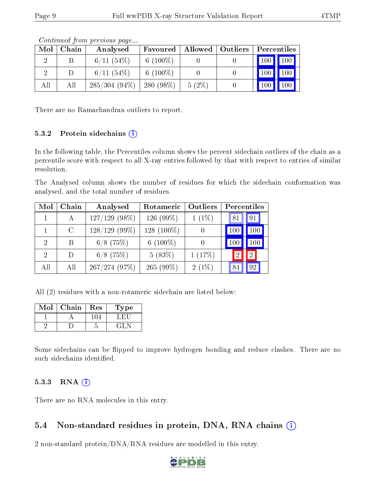|     |       | contentable provided page |              |                    |                                          |
|-----|-------|---------------------------|--------------|--------------------|------------------------------------------|
| Mol | Chain | Analysed                  | Favoured     | Allowed   Outliers | Percentiles                              |
|     |       | $6/11(54\%)$              | 6 $(100\%)$  |                    | $\vert$ 100 $\vert$<br>$\mid$ 100 $\mid$ |
|     |       | $6/11(54\%)$              | 6 $(100\%)$  |                    | 100                                      |
| All | All   | $285/304(94\%)$           | 280 $(98\%)$ | $5(2\%)$           | 100 <sup>1</sup>                         |

Continued from previous page...

There are no Ramachandran outliers to report.

#### 5.3.2 Protein sidechains  $(i)$

In the following table, the Percentiles column shows the percent sidechain outliers of the chain as a percentile score with respect to all X-ray entries followed by that with respect to entries of similar resolution.

The Analysed column shows the number of residues for which the sidechain conformation was analysed, and the total number of residues.

| Mol                         | Chain   | Analysed        | Rotameric     | Outliers | Percentiles |                 |  |
|-----------------------------|---------|-----------------|---------------|----------|-------------|-----------------|--|
|                             | А       | $127/129$ (98%) | 126 $(99\%)$  | $1(1\%)$ | 81          | 91 <sup>1</sup> |  |
|                             | $\rm C$ | $128/129$ (99%) | 128 $(100\%)$ |          | 100         | 100             |  |
| $\mathcal{D}_{\mathcal{A}}$ | В       | $6/8$ (75%)     | 6 $(100\%)$   |          | 100         | 100             |  |
| $\mathcal{D}$               | D)      | $6/8$ (75%)     | 5(83%)        | 1(17%)   |             | 2 <sup>1</sup>  |  |
| All                         | All     | 267/274(97%)    | $265(99\%)$   | $2(1\%)$ | 84          | 92              |  |

All (2) residues with a non-rotameric sidechain are listed below:

| Mol | Chain | Res | Type |
|-----|-------|-----|------|
|     |       |     |      |
|     |       |     | -415 |

Some sidechains can be flipped to improve hydrogen bonding and reduce clashes. There are no such sidechains identified.

#### $5.3.3$  RNA  $(i)$

There are no RNA molecules in this entry.

### 5.4 Non-standard residues in protein, DNA, RNA chains  $(i)$

2 non-standard protein/DNA/RNA residues are modelled in this entry.

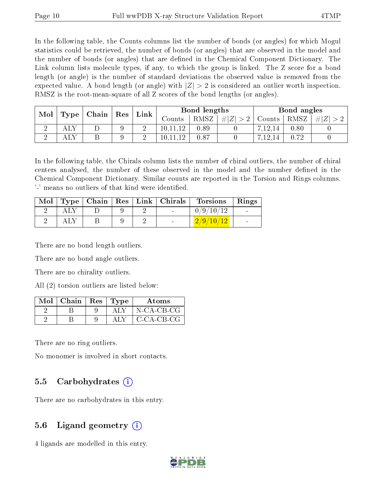In the following table, the Counts columns list the number of bonds (or angles) for which Mogul statistics could be retrieved, the number of bonds (or angles) that are observed in the model and the number of bonds (or angles) that are dened in the Chemical Component Dictionary. The Link column lists molecule types, if any, to which the group is linked. The Z score for a bond length (or angle) is the number of standard deviations the observed value is removed from the expected value. A bond length (or angle) with  $|Z| > 2$  is considered an outlier worth inspection. RMSZ is the root-mean-square of all Z scores of the bond lengths (or angles).

| Mol |                      | $\mid$ Chain $\mid$ | $^+$ $\rm Res$ | $\lfloor$ Link $\rfloor$ | Bond lengths |        |      | Bond angles              |      |  |
|-----|----------------------|---------------------|----------------|--------------------------|--------------|--------|------|--------------------------|------|--|
|     | $\perp$ Type $\perp$ |                     | Counts         | RMSZ                     | # $ Z  > 2$  | Counts | RMSZ | $\Vert \# \vert Z \vert$ |      |  |
|     |                      |                     |                | ↵                        | 10.11.12     | 0.89   |      | 12.14                    | 0.80 |  |
|     |                      |                     |                | $\Omega$<br>↵            | 10.11.       | 0.87   |      | 7.12.14                  |      |  |

In the following table, the Chirals column lists the number of chiral outliers, the number of chiral centers analysed, the number of these observed in the model and the number defined in the Chemical Component Dictionary. Similar counts are reported in the Torsion and Rings columns. '-' means no outliers of that kind were identified.

| $\text{Mol}$ |  |  | $\mid$ Type $\mid$ Chain $\mid$ Res $\mid$ Link $\mid$ Chirals $\mid$ | <b>Torsions</b>             | Rings                    |
|--------------|--|--|-----------------------------------------------------------------------|-----------------------------|--------------------------|
|              |  |  |                                                                       | 0/9/10/12                   | $\sim$                   |
|              |  |  | <b>Service</b>                                                        | $\lfloor 2/9/10/12 \rfloor$ | <b>Contract Contract</b> |

There are no bond length outliers.

There are no bond angle outliers.

There are no chirality outliers.

All (2) torsion outliers are listed below:

| Mol | Chain   $\text{Res}$   $\text{Type}$ |  | Atoms        |
|-----|--------------------------------------|--|--------------|
|     |                                      |  | N-CA-CB-CG   |
|     |                                      |  | $C-CA-CB-CG$ |

There are no ring outliers.

No monomer is involved in short contacts.

#### 5.5 Carbohydrates  $(i)$

There are no carbohydrates in this entry.

### 5.6 Ligand geometry  $(i)$

4 ligands are modelled in this entry.

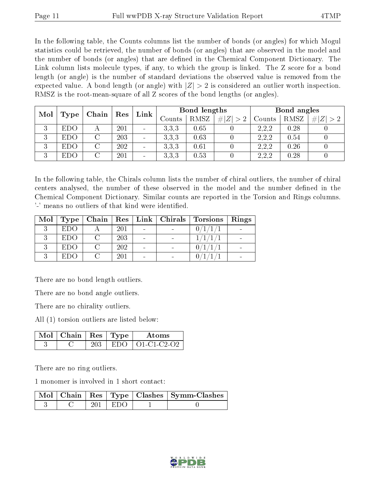In the following table, the Counts columns list the number of bonds (or angles) for which Mogul statistics could be retrieved, the number of bonds (or angles) that are observed in the model and the number of bonds (or angles) that are dened in the Chemical Component Dictionary. The Link column lists molecule types, if any, to which the group is linked. The Z score for a bond length (or angle) is the number of standard deviations the observed value is removed from the expected value. A bond length (or angle) with  $|Z| > 2$  is considered an outlier worth inspection. RMSZ is the root-mean-square of all Z scores of the bond lengths (or angles).

| Mol |            | Chain | $\operatorname{Res}$ | Link                     | Bond lengths |      |             | Bond angles |      |   |
|-----|------------|-------|----------------------|--------------------------|--------------|------|-------------|-------------|------|---|
|     | Type       |       |                      |                          | Counts       | RMSZ | # $ Z  > 2$ | Counts      | RMSZ | Z |
| 3   | <b>EDO</b> |       | 201                  | $\overline{\phantom{a}}$ | 3.3.3        | 0.65 |             | 2.2.2       | 0.28 |   |
| 3   | <b>EDO</b> |       | 203                  | $\overline{\phantom{a}}$ | 3.3.3        | 0.63 |             | 2,2,2       | 0.54 |   |
| 3   | <b>EDO</b> |       | 202                  | $\overline{\phantom{a}}$ | 3.3.3        | 0.61 |             | 2.2.2       | 0.26 |   |
| 3   | <b>EDO</b> |       | 201                  | $\overline{\phantom{a}}$ | 3.3.3        | 0.53 |             | 2,2,2       | 0.28 |   |

In the following table, the Chirals column lists the number of chiral outliers, the number of chiral centers analysed, the number of these observed in the model and the number defined in the Chemical Component Dictionary. Similar counts are reported in the Torsion and Rings columns. '-' means no outliers of that kind were identified.

| Mol | $+$ Type $+$ | Chain |     |  | $\mid$ Res $\mid$ Link $\mid$ Chirals $\mid$ Torsions | Rings |
|-----|--------------|-------|-----|--|-------------------------------------------------------|-------|
|     | <b>EDO</b>   |       | 201 |  | 0/1/1/                                                |       |
|     | EDO.         |       | 203 |  |                                                       |       |
|     | <b>EDO</b>   |       | 202 |  |                                                       |       |
|     | EDO.         |       | 201 |  |                                                       |       |

There are no bond length outliers.

There are no bond angle outliers.

There are no chirality outliers.

All (1) torsion outliers are listed below:

| $\sqrt{Mol}$ Chain   Res   Type |  | Atoms                  |
|---------------------------------|--|------------------------|
|                                 |  | $EDO$   $O1$ -C1-C2-O2 |

There are no ring outliers.

1 monomer is involved in 1 short contact:

|  |           | Mol   Chain   Res   Type   Clashes   Symm-Clashes |
|--|-----------|---------------------------------------------------|
|  | 201   EDO |                                                   |

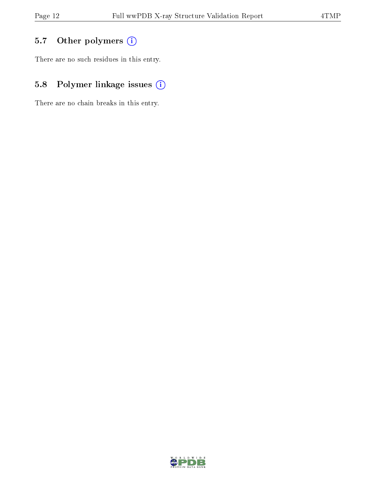## 5.7 [O](https://www.wwpdb.org/validation/2017/XrayValidationReportHelp#nonstandard_residues_and_ligands)ther polymers (i)

There are no such residues in this entry.

## 5.8 Polymer linkage issues (i)

There are no chain breaks in this entry.

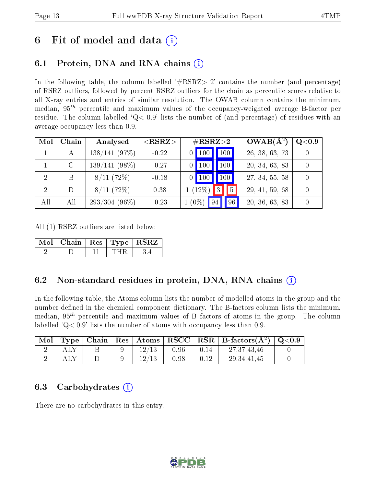## 6 Fit of model and data  $\left( \cdot \right)$

## 6.1 Protein, DNA and RNA chains (i)

In the following table, the column labelled  $#RSRZ>2'$  contains the number (and percentage) of RSRZ outliers, followed by percent RSRZ outliers for the chain as percentile scores relative to all X-ray entries and entries of similar resolution. The OWAB column contains the minimum, median,  $95<sup>th</sup>$  percentile and maximum values of the occupancy-weighted average B-factor per residue. The column labelled  $Q< 0.9$  lists the number of (and percentage) of residues with an average occupancy less than 0.9.

| Mol           | Chain   | Analysed        | ${ <\hspace{-1.5pt}{\mathrm{RSRZ}} \hspace{-1.5pt}>}$ | $\#\text{RSRZ}\text{>2}$ |  |      |    | $OWAB(A^2)$    | Q <sub>0.9</sub> |
|---------------|---------|-----------------|-------------------------------------------------------|--------------------------|--|------|----|----------------|------------------|
|               | А       | 138/141(97%)    | $-0.22$                                               | $0$   100                |  | '100 |    | 26, 38, 63, 73 |                  |
|               | $\rm C$ | $139/141(98\%)$ | $-0.27$                                               | $\vert$ 100              |  | 100  |    | 20, 34, 63, 83 |                  |
| $\mathcal{D}$ | Β       | 8/11(72%)       | $-0.18$                                               | $0$   100                |  | 100  |    | 27, 34, 55, 58 |                  |
| 2             | D       | 8/11(72%)       | 0.38                                                  | $1(12\%)$                |  | 3    | 5  | 29, 41, 59, 68 |                  |
| All           | All     | $293/304(96\%)$ | $-0.23$                                               | $(0\%)$ 94               |  |      | 96 | 20, 36, 63, 83 |                  |

All (1) RSRZ outliers are listed below:

| Mol   Chain   Res   Type   RSRZ |  |  |
|---------------------------------|--|--|
|                                 |  |  |

### 6.2 Non-standard residues in protein, DNA, RNA chains (i)

In the following table, the Atoms column lists the number of modelled atoms in the group and the number defined in the chemical component dictionary. The B-factors column lists the minimum, median,  $95<sup>th</sup>$  percentile and maximum values of B factors of atoms in the group. The column labelled  $Q< 0.9$  lists the number of atoms with occupancy less than 0.9.

| Mol | $\perp$ Type $\parallel$ Chain $\parallel$ |       |      |      | $\mid$ Res $\mid$ Atoms $\mid$ RSCC $\mid$ RSR $\mid$ B-factors(A <sup>2</sup> ) $\mid$ Q<0.9 |  |
|-----|--------------------------------------------|-------|------|------|-----------------------------------------------------------------------------------------------|--|
|     |                                            |       | 0.96 | 0.14 | 27,37,43,46                                                                                   |  |
|     |                                            | 12/13 | 0.98 | 0.12 | 29, 34, 41, 45                                                                                |  |

### 6.3 Carbohydrates (i)

There are no carbohydrates in this entry.